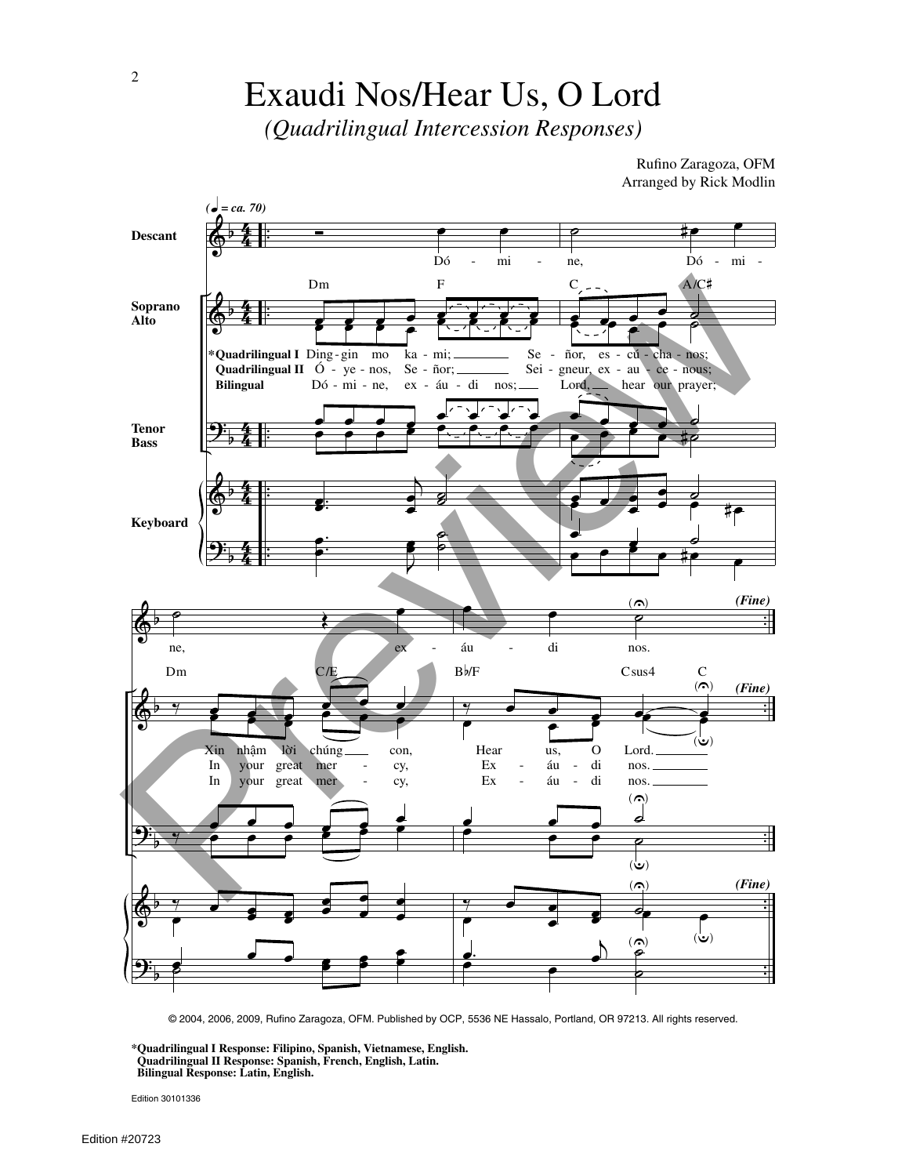## Exaudi Nos/Hear Us, O Lord

*(Quadrilingual Intercession Responses)*

Rufino Zaragoza, OFM Arranged by Rick Modlin



© 2004, 2006, 2009, Rufino Zaragoza, OFM. Published by OCP, 5536 NE Hassalo, Portland, OR 97213. All rights reserved.

**\*Quadrilingual I Response: Filipino, Spanish, Vietnamese, English. Quadrilingual II Response: Spanish, French, English, Latin. Bilingual Response: Latin, English.**

Edition 30101336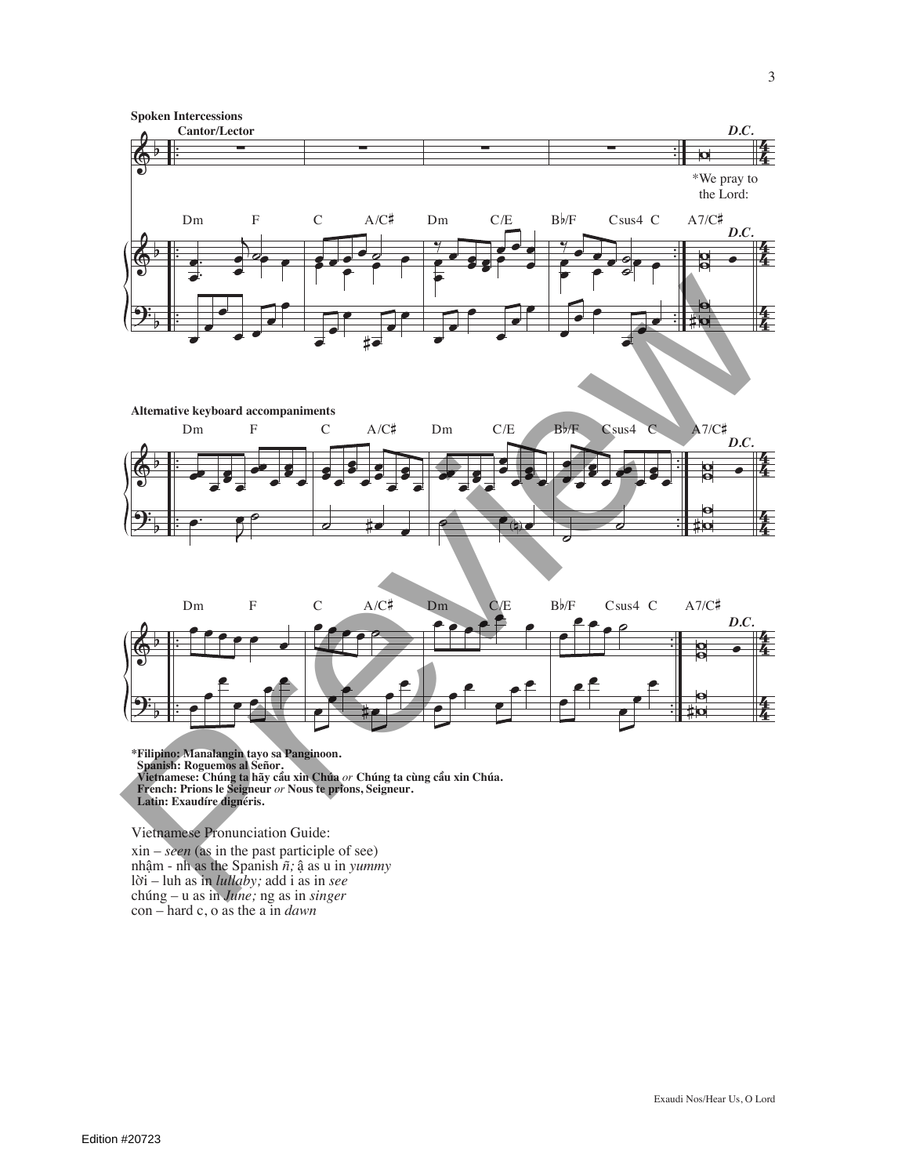





**\*Filipino: Manalangin tayo sa Panginoon.**  Spanish: Roguemos al Señor.<br>Vietnamese: Chúng ta hãy cầu xin Chúa *or* Chúng ta cùng cầu xin Chúa. **French: Prions le Seigneur** *or* **Nous te prions, Seigneur. Latin: Exaudíre dignéris.**  $\mathbf{\hat{i}}$ u xin Chúa  $or$  Chúng ta cùng cầ

Vietnamese Pronunciation Guide:

xin – *seen* (as in the past participle of see) nhậm - nh as the Spanish  $\tilde{n}$ ; ậ as u in *yummy* lÏi – luh as in *lullaby;* add i as in *see* chúng – u as in *June;* ng as in *singer* con – hard c, o as the a in *dawn*